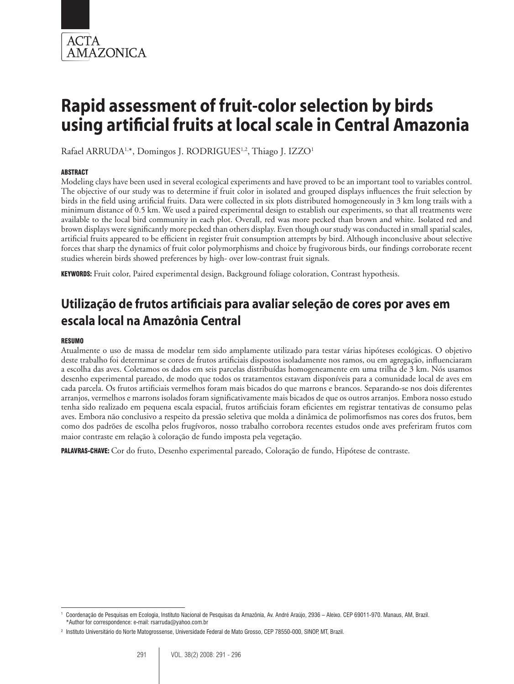

# **Rapid assessment of fruit-color selection by birds using artificial fruits at local scale in Central Amazonia**

Rafael ARRUDA<sup>1,\*</sup>, Domingos J. RODRIGUES<sup>1,2</sup>, Thiago J. IZZO<sup>1</sup>

## **ABSTRACT**

Modeling clays have been used in several ecological experiments and have proved to be an important tool to variables control. The objective of our study was to determine if fruit color in isolated and grouped displays influences the fruit selection by birds in the field using artificial fruits. Data were collected in six plots distributed homogeneously in 3 km long trails with a minimum distance of 0.5 km. We used a paired experimental design to establish our experiments, so that all treatments were available to the local bird community in each plot. Overall, red was more pecked than brown and white. Isolated red and brown displays were significantly more pecked than others display. Even though our study was conducted in small spatial scales, artificial fruits appeared to be efficient in register fruit consumption attempts by bird. Although inconclusive about selective forces that sharp the dynamics of fruit color polymorphisms and choice by frugivorous birds, our findings corroborate recent studies wherein birds showed preferences by high- over low-contrast fruit signals.

KEYWORDS: Fruit color, Paired experimental design, Background foliage coloration, Contrast hypothesis.

# **Utilização de frutos artificiais para avaliar seleção de cores por aves em escala local na Amazônia Central**

#### RESUMO

Atualmente o uso de massa de modelar tem sido amplamente utilizado para testar várias hipóteses ecológicas. O objetivo deste trabalho foi determinar se cores de frutos artificiais dispostos isoladamente nos ramos, ou em agregação, influenciaram a escolha das aves. Coletamos os dados em seis parcelas distribuídas homogeneamente em uma trilha de 3 km. Nós usamos desenho experimental pareado, de modo que todos os tratamentos estavam disponíveis para a comunidade local de aves em cada parcela. Os frutos artificiais vermelhos foram mais bicados do que marrons e brancos. Separando-se nos dois diferentes arranjos, vermelhos e marrons isolados foram significativamente mais bicados de que os outros arranjos. Embora nosso estudo tenha sido realizado em pequena escala espacial, frutos artificiais foram eficientes em registrar tentativas de consumo pelas aves. Embora não conclusivo a respeito da pressão seletiva que molda a dinâmica de polimorfismos nas cores dos frutos, bem como dos padrões de escolha pelos frugívoros, nosso trabalho corrobora recentes estudos onde aves preferiram frutos com maior contraste em relação à coloração de fundo imposta pela vegetação.

PALAVRAS-CHAVE: Cor do fruto, Desenho experimental pareado, Coloração de fundo, Hipótese de contraste.

<sup>1</sup> Coordenação de Pesquisas em Ecologia, Instituto Nacional de Pesquisas da Amazônia, Av. André Araújo, 2936 – Aleixo. CEP 69011-970. Manaus, AM, Brazil. \*Author for correspondence: e-mail: rsarruda@yahoo.com.br

<sup>2</sup> Instituto Universitário do Norte Matogrossense, Universidade Federal de Mato Grosso, CEP 78550-000, SINOP, MT, Brazil.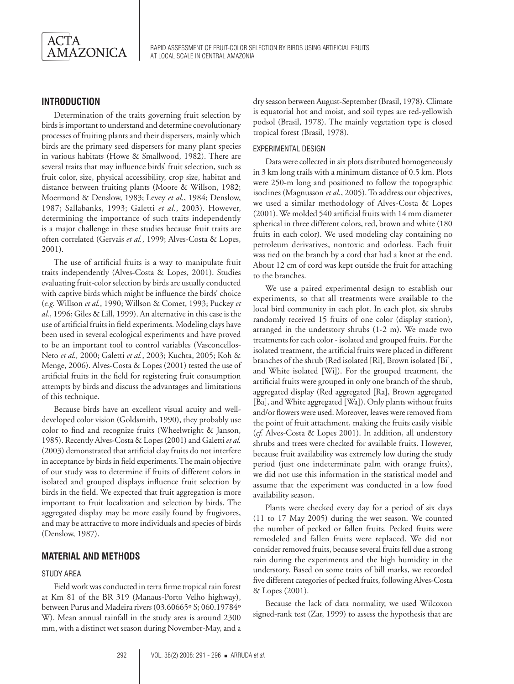

Rapid assessment of fruit-color selection by birds using artificial fruits at local scale in Central Amazonia

# **INTRODUCTION**

Determination of the traits governing fruit selection by birds is important to understand and determine coevolutionary processes of fruiting plants and their dispersers, mainly which birds are the primary seed dispersers for many plant species in various habitats (Howe & Smallwood, 1982). There are several traits that may influence birds' fruit selection, such as fruit color, size, physical accessibility, crop size, habitat and distance between fruiting plants (Moore & Willson, 1982; Moermond & Denslow, 1983; Levey *et al.*, 1984; Denslow, 1987; Sallabanks, 1993; Galetti *et al.*, 2003). However, determining the importance of such traits independently is a major challenge in these studies because fruit traits are often correlated (Gervais *et al.*, 1999; Alves-Costa & Lopes, 2001).

The use of artificial fruits is a way to manipulate fruit traits independently (Alves-Costa & Lopes, 2001). Studies evaluating fruit-color selection by birds are usually conducted with captive birds which might be influence the birds' choice (*e.g.* Willson *et al.*, 1990; Willson & Comet, 1993; Puckey *et al.*, 1996; Giles & Lill, 1999). An alternative in this case is the use of artificial fruits in field experiments. Modeling clays have been used in several ecological experiments and have proved to be an important tool to control variables (Vasconcellos-Neto *et al.,* 2000; Galetti *et al.*, 2003; Kuchta, 2005; Koh & Menge, 2006). Alves-Costa & Lopes (2001) tested the use of artificial fruits in the field for registering fruit consumption attempts by birds and discuss the advantages and limitations of this technique.

Because birds have an excellent visual acuity and welldeveloped color vision (Goldsmith, 1990), they probably use color to find and recognize fruits (Wheelwright & Janson, 1985). Recently Alves-Costa & Lopes (2001) and Galetti *et al.* (2003) demonstrated that artificial clay fruits do not interfere in acceptance by birds in field experiments. The main objective of our study was to determine if fruits of different colors in isolated and grouped displays influence fruit selection by birds in the field. We expected that fruit aggregation is more important to fruit localization and selection by birds. The aggregated display may be more easily found by frugivores, and may be attractive to more individuals and species of birds (Denslow, 1987).

# **MATERIAL AND METHODS**

#### STUDY AREA

Field work was conducted in terra firme tropical rain forest at Km 81 of the BR 319 (Manaus-Porto Velho highway), between Purus and Madeira rivers (03.60665° S; 060.19784° W). Mean annual rainfall in the study area is around 2300 mm, with a distinct wet season during November-May, and a

dry season between August-September (Brasil, 1978). Climate is equatorial hot and moist, and soil types are red-yellowish podsol (Brasil, 1978). The mainly vegetation type is closed tropical forest (Brasil, 1978).

#### EXPERIMENTAL DESIGN

Data were collected in six plots distributed homogeneously in 3 km long trails with a minimum distance of 0.5 km. Plots were 250-m long and positioned to follow the topographic isoclines (Magnusson *et al.*, 2005). To address our objectives, we used a similar methodology of Alves-Costa & Lopes (2001). We molded 540 artificial fruits with 14 mm diameter spherical in three different colors, red, brown and white (180 fruits in each color). We used modeling clay containing no petroleum derivatives, nontoxic and odorless. Each fruit was tied on the branch by a cord that had a knot at the end. About 12 cm of cord was kept outside the fruit for attaching to the branches.

We use a paired experimental design to establish our experiments, so that all treatments were available to the local bird community in each plot. In each plot, six shrubs randomly received 15 fruits of one color (display station), arranged in the understory shrubs (1-2 m). We made two treatments for each color - isolated and grouped fruits. For the isolated treatment, the artificial fruits were placed in different branches of the shrub (Red isolated [Ri], Brown isolated [Bi], and White isolated [Wi]). For the grouped treatment, the artificial fruits were grouped in only one branch of the shrub, aggregated display (Red aggregated [Ra], Brown aggregated [Ba], and White aggregated [Wa]). Only plants without fruits and/or flowers were used. Moreover, leaves were removed from the point of fruit attachment, making the fruits easily visible (*cf.* Alves-Costa & Lopes 2001). In addition, all understory shrubs and trees were checked for available fruits. However, because fruit availability was extremely low during the study period (just one indeterminate palm with orange fruits), we did not use this information in the statistical model and assume that the experiment was conducted in a low food availability season.

Plants were checked every day for a period of six days (11 to 17 May 2005) during the wet season. We counted the number of pecked or fallen fruits. Pecked fruits were remodeled and fallen fruits were replaced. We did not consider removed fruits, because several fruits fell due a strong rain during the experiments and the high humidity in the understory. Based on some traits of bill marks, we recorded five different categories of pecked fruits, following Alves-Costa & Lopes (2001).

Because the lack of data normality, we used Wilcoxon signed-rank test (Zar, 1999) to assess the hypothesis that are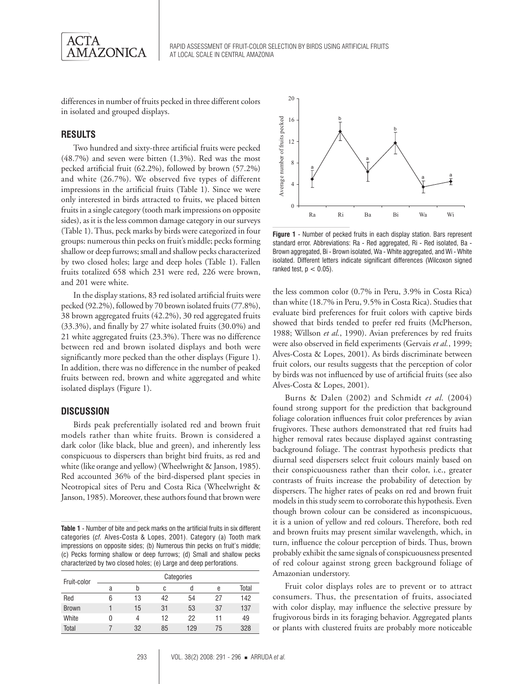

Rapid assessment of fruit-color selection by birds using artificial fruits at local scale in Central Amazonia

differences in number of fruits pecked in three different colors in isolated and grouped displays.

# **RESULTS**

Two hundred and sixty-three artificial fruits were pecked (48.7%) and seven were bitten (1.3%). Red was the most pecked artificial fruit (62.2%), followed by brown (57.2%) and white (26.7%). We observed five types of different impressions in the artificial fruits (Table 1). Since we were only interested in birds attracted to fruits, we placed bitten fruits in a single category (tooth mark impressions on opposite sides), as it is the less common damage category in our surveys (Table 1). Thus, peck marks by birds were categorized in four groups: numerous thin pecks on fruit's middle; pecks forming shallow or deep furrows; small and shallow pecks characterized by two closed holes; large and deep holes (Table 1). Fallen fruits totalized 658 which 231 were red, 226 were brown, and 201 were white.

In the display stations, 83 red isolated artificial fruits were pecked (92.2%), followed by 70 brown isolated fruits (77.8%), 38 brown aggregated fruits (42.2%), 30 red aggregated fruits (33.3%), and finally by 27 white isolated fruits (30.0%) and 21 white aggregated fruits (23.3%). There was no difference between red and brown isolated displays and both were significantly more pecked than the other displays (Figure 1). In addition, there was no difference in the number of peaked fruits between red, brown and white aggregated and white isolated displays (Figure 1).

# **DISCUSSION**

Birds peak preferentially isolated red and brown fruit models rather than white fruits. Brown is considered a dark color (like black, blue and green), and inherently less conspicuous to dispersers than bright bird fruits, as red and white (like orange and yellow) (Wheelwright & Janson, 1985). Red accounted 36% of the bird-dispersed plant species in Neotropical sites of Peru and Costa Rica (Wheelwright & Janson, 1985). Moreover, these authors found that brown were

**Table 1** - Number of bite and peck marks on the artificial fruits in six different categories (*cf.* Alves-Costa & Lopes, 2001). Category (a) Tooth mark impressions on opposite sides; (b) Numerous thin pecks on fruit's middle; (c) Pecks forming shallow or deep furrows; (d) Small and shallow pecks characterized by two closed holes; (e) Large and deep perforations.

| Fruit-color  | Categories |    |    |     |    |       |
|--------------|------------|----|----|-----|----|-------|
|              | a          | b  | C  | d   | e  | Total |
| Red          | 6          | 13 | 42 | 54  | 27 | 142   |
| <b>Brown</b> |            | 15 | 31 | 53  | 37 | 137   |
| White        | 0          | 4  | 12 | 22  | 11 | 49    |
| Total        |            | 32 | 85 | 129 | 75 | 328   |



**Figure 1** - Number of pecked fruits in each display station. Bars represent standard error. Abbreviations: Ra - Red aggregated, Ri - Red isolated, Ba - Brown aggregated, Bi - Brown isolated, Wa - White aggregated, and Wi - White isolated. Different letters indicate significant differences (Wilcoxon signed ranked test,  $p < 0.05$ ).

the less common color (0.7% in Peru, 3.9% in Costa Rica) than white (18.7% in Peru, 9.5% in Costa Rica). Studies that evaluate bird preferences for fruit colors with captive birds showed that birds tended to prefer red fruits (McPherson, 1988; Willson *et al.*, 1990). Avian preferences by red fruits were also observed in field experiments (Gervais *et al.*, 1999; Alves-Costa & Lopes, 2001). As birds discriminate between fruit colors, our results suggests that the perception of color by birds was not influenced by use of artificial fruits (see also Alves-Costa & Lopes, 2001).

Burns & Dalen (2002) and Schmidt *et al.* (2004) found strong support for the prediction that background foliage coloration influences fruit color preferences by avian frugivores. These authors demonstrated that red fruits had higher removal rates because displayed against contrasting background foliage. The contrast hypothesis predicts that diurnal seed dispersers select fruit colours mainly based on their conspicuousness rather than their color, i.e., greater contrasts of fruits increase the probability of detection by dispersers. The higher rates of peaks on red and brown fruit models in this study seem to corroborate this hypothesis. Even though brown colour can be considered as inconspicuous, it is a union of yellow and red colours. Therefore, both red and brown fruits may present similar wavelength, which, in turn, influence the colour perception of birds. Thus, brown probably exhibit the same signals of conspicuousness presented of red colour against strong green background foliage of Amazonian understory.

Fruit color displays roles are to prevent or to attract consumers. Thus, the presentation of fruits, associated with color display, may influence the selective pressure by frugivorous birds in its foraging behavior. Aggregated plants or plants with clustered fruits are probably more noticeable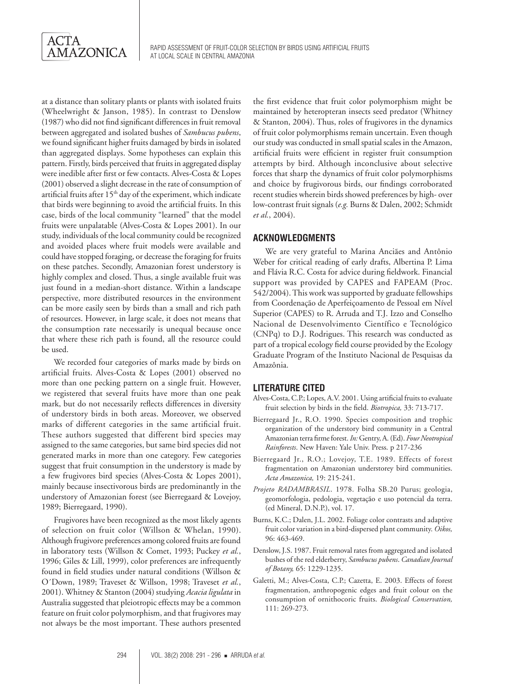at a distance than solitary plants or plants with isolated fruits (Wheelwright & Janson, 1985). In contrast to Denslow (1987) who did not find significant differences in fruit removal between aggregated and isolated bushes of *Sambucus pubens*, we found significant higher fruits damaged by birds in isolated than aggregated displays. Some hypotheses can explain this pattern. Firstly, birds perceived that fruits in aggregated display were inedible after first or few contacts. Alves-Costa & Lopes (2001) observed a slight decrease in the rate of consumption of artificial fruits after 15<sup>th</sup> day of the experiment, which indicate that birds were beginning to avoid the artificial fruits. In this case, birds of the local community "learned" that the model fruits were unpalatable (Alves-Costa & Lopes 2001). In our study, individuals of the local community could be recognized and avoided places where fruit models were available and could have stopped foraging, or decrease the foraging for fruits on these patches. Secondly, Amazonian forest understory is highly complex and closed. Thus, a single available fruit was just found in a median-short distance. Within a landscape perspective, more distributed resources in the environment can be more easily seen by birds than a small and rich path of resources. However, in large scale, it does not means that the consumption rate necessarily is unequal because once that where these rich path is found, all the resource could be used.

We recorded four categories of marks made by birds on artificial fruits. Alves-Costa & Lopes (2001) observed no more than one pecking pattern on a single fruit. However, we registered that several fruits have more than one peak mark, but do not necessarily reflects differences in diversity of understory birds in both areas. Moreover, we observed marks of different categories in the same artificial fruit. These authors suggested that different bird species may assigned to the same categories, but same bird species did not generated marks in more than one category. Few categories suggest that fruit consumption in the understory is made by a few frugivores bird species (Alves-Costa & Lopes 2001), mainly because insectivorous birds are predominantly in the understory of Amazonian forest (see Bierregaard & Lovejoy, 1989; Bierregaard, 1990).

Frugivores have been recognized as the most likely agents of selection on fruit color (Willson & Whelan, 1990). Although frugivore preferences among colored fruits are found in laboratory tests (Willson & Comet, 1993; Puckey *et al.*, 1996; Giles & Lill, 1999), color preferences are infrequently found in field studies under natural conditions (Willson & O´Down, 1989; Traveset & Willson, 1998; Traveset *et al.*, 2001). Whitney & Stanton (2004) studying *Acacia ligulata* in Australia suggested that pleiotropic effects may be a common feature on fruit color polymorphism, and that frugivores may not always be the most important. These authors presented

the first evidence that fruit color polymorphism might be maintained by heteropteran insects seed predator (Whitney & Stanton, 2004). Thus, roles of frugivores in the dynamics of fruit color polymorphisms remain uncertain. Even though our study was conducted in small spatial scales in the Amazon, artificial fruits were efficient in register fruit consumption attempts by bird. Although inconclusive about selective forces that sharp the dynamics of fruit color polymorphisms and choice by frugivorous birds, our findings corroborated recent studies wherein birds showed preferences by high- over low-contrast fruit signals (*e.g.* Burns & Dalen, 2002; Schmidt *et al.*, 2004).

# **ACKNOWLEDGMENTS**

We are very grateful to Marina Anciães and Antônio Weber for critical reading of early drafts, Albertina P. Lima and Flávia R.C. Costa for advice during fieldwork. Financial support was provided by CAPES and FAPEAM (Proc. 542/2004). This work was supported by graduate fellowships from Coordenação de Aperfeiçoamento de Pessoal em Nível Superior (CAPES) to R. Arruda and T.J. Izzo and Conselho Nacional de Desenvolvimento Científico e Tecnológico (CNPq) to D.J. Rodrigues. This research was conducted as part of a tropical ecology field course provided by the Ecology Graduate Program of the Instituto Nacional de Pesquisas da Amazônia.

# **LITERATURE CITED**

- Alves-Costa, C.P.; Lopes, A.V. 2001. Using artificial fruits to evaluate fruit selection by birds in the field. *Biotropica,* 33: 713-717.
- Bierregaard Jr., R.O. 1990. Species composition and trophic organization of the understory bird community in a Central Amazonian terra firme forest. *In:* Gentry, A. (Ed). *Four Neotropical Rainforests*. New Haven: Yale Univ. Press. p 217-236
- Bierregaard Jr., R.O.; Lovejoy, T.E. 1989. Effects of forest fragmentation on Amazonian understorey bird communities. *Acta Amazonica,* 19: 215-241.
- *Projeto RADAMBRASIL*. 1978. Folha SB.20 Purus; geologia, geomorfologia, pedologia, vegetação e uso potencial da terra. (ed Mineral, D.N.P.), vol. 17.
- Burns, K.C.; Dalen, J.L. 2002. Foliage color contrasts and adaptive fruit color variation in a bird-dispersed plant community. *Oikos,* 96: 463-469.
- Denslow, J.S. 1987. Fruit removal rates from aggregated and isolated bushes of the red elderberry, *Sambucus pubens*. *Canadian Journal of Botany,* 65: 1229-1235.
- Galetti, M.; Alves-Costa, C.P.; Cazetta, E. 2003. Effects of forest fragmentation, anthropogenic edges and fruit colour on the consumption of ornithocoric fruits. *Biological Conservation,* 111: 269-273.